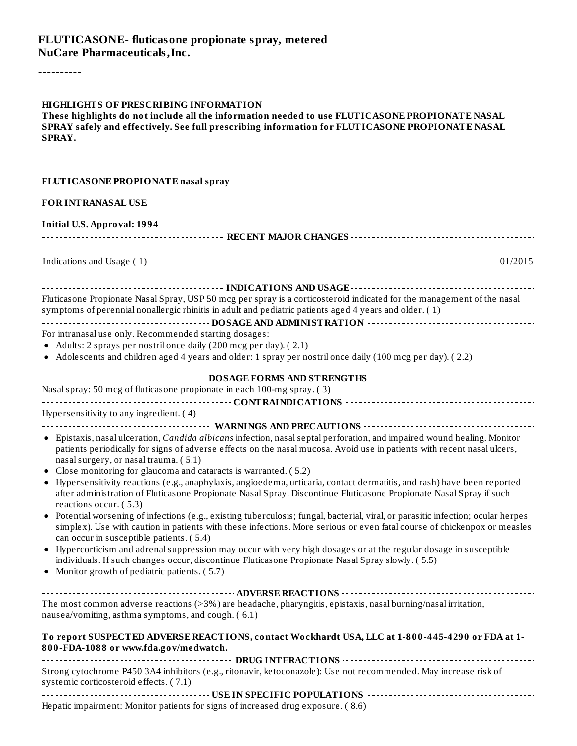#### **FLUTICASONE- fluticasone propionate spray, metered NuCare Pharmaceuticals,Inc.**

----------

**These highlights do not include all the information needed to use FLUTICASONE PROPIONATE NASAL SPRAY safely and effectively. See full prescribing information for FLUTICASONE PROPIONATE NASAL SPRAY.**

| FLUTICASONE PROPIONATE nasal spray                                                                                                                                                                                                                                                                                                                                                                                                                                                                                                                                                                                                                                                                                                                                                                                                                                                                                                                                                                                                                                                                                                                                                                                                          |
|---------------------------------------------------------------------------------------------------------------------------------------------------------------------------------------------------------------------------------------------------------------------------------------------------------------------------------------------------------------------------------------------------------------------------------------------------------------------------------------------------------------------------------------------------------------------------------------------------------------------------------------------------------------------------------------------------------------------------------------------------------------------------------------------------------------------------------------------------------------------------------------------------------------------------------------------------------------------------------------------------------------------------------------------------------------------------------------------------------------------------------------------------------------------------------------------------------------------------------------------|
| <b>FOR INTRANASAL USE</b>                                                                                                                                                                                                                                                                                                                                                                                                                                                                                                                                                                                                                                                                                                                                                                                                                                                                                                                                                                                                                                                                                                                                                                                                                   |
| <b>Initial U.S. Approval: 1994</b>                                                                                                                                                                                                                                                                                                                                                                                                                                                                                                                                                                                                                                                                                                                                                                                                                                                                                                                                                                                                                                                                                                                                                                                                          |
|                                                                                                                                                                                                                                                                                                                                                                                                                                                                                                                                                                                                                                                                                                                                                                                                                                                                                                                                                                                                                                                                                                                                                                                                                                             |
| Indications and Usage (1)<br>01/2015                                                                                                                                                                                                                                                                                                                                                                                                                                                                                                                                                                                                                                                                                                                                                                                                                                                                                                                                                                                                                                                                                                                                                                                                        |
| Fluticasone Propionate Nasal Spray, USP 50 mcg per spray is a corticosteroid indicated for the management of the nasal<br>symptoms of perennial nonallergic rhinitis in adult and pediatric patients aged 4 years and older. (1)                                                                                                                                                                                                                                                                                                                                                                                                                                                                                                                                                                                                                                                                                                                                                                                                                                                                                                                                                                                                            |
| For intranasal use only. Recommended starting dosages:                                                                                                                                                                                                                                                                                                                                                                                                                                                                                                                                                                                                                                                                                                                                                                                                                                                                                                                                                                                                                                                                                                                                                                                      |
| • Adults: 2 sprays per nostril once daily (200 mcg per day). (2.1)                                                                                                                                                                                                                                                                                                                                                                                                                                                                                                                                                                                                                                                                                                                                                                                                                                                                                                                                                                                                                                                                                                                                                                          |
| • Adolescents and children aged 4 years and older: 1 spray per nostril once daily (100 mcg per day). (2.2)                                                                                                                                                                                                                                                                                                                                                                                                                                                                                                                                                                                                                                                                                                                                                                                                                                                                                                                                                                                                                                                                                                                                  |
|                                                                                                                                                                                                                                                                                                                                                                                                                                                                                                                                                                                                                                                                                                                                                                                                                                                                                                                                                                                                                                                                                                                                                                                                                                             |
| Nasal spray: 50 mcg of fluticasone propionate in each 100-mg spray. (3)                                                                                                                                                                                                                                                                                                                                                                                                                                                                                                                                                                                                                                                                                                                                                                                                                                                                                                                                                                                                                                                                                                                                                                     |
|                                                                                                                                                                                                                                                                                                                                                                                                                                                                                                                                                                                                                                                                                                                                                                                                                                                                                                                                                                                                                                                                                                                                                                                                                                             |
| Hypersensitivity to any ingredient. (4)                                                                                                                                                                                                                                                                                                                                                                                                                                                                                                                                                                                                                                                                                                                                                                                                                                                                                                                                                                                                                                                                                                                                                                                                     |
| • Epistaxis, nasal ulceration, <i>Candida albicans</i> infection, nasal septal perforation, and impaired wound healing. Monitor<br>patients periodically for signs of adverse effects on the nasal mucosa. Avoid use in patients with recent nasal ulcers,<br>nasal surgery, or nasal trauma. (5.1)<br>• Close monitoring for glaucoma and cataracts is warranted. (5.2)<br>• Hypersensitivity reactions (e.g., anaphylaxis, angioedema, urticaria, contact dermatitis, and rash) have been reported<br>after administration of Fluticasone Propionate Nasal Spray. Discontinue Fluticasone Propionate Nasal Spray if such<br>reactions occur. (5.3)<br>• Potential worsening of infections (e.g., existing tuberculosis; fungal, bacterial, viral, or parasitic infection; ocular herpes<br>simplex). Use with caution in patients with these infections. More serious or even fatal course of chickenpox or measles<br>can occur in susceptible patients. (5.4)<br>• Hypercorticism and adrenal suppression may occur with very high dosages or at the regular dosage in susceptible<br>individuals. If such changes occur, discontinue Fluticasone Propionate Nasal Spray slowly. (5.5)<br>• Monitor growth of pediatric patients. (5.7) |
| The most common adverse reactions (>3%) are headache, pharyngitis, epistaxis, nasal burning/nasal irritation,<br>nausea/vomiting, asthma symptoms, and cough. (6.1)<br>To report SUSPECTED ADVERSE REACTIONS, contact Wockhardt USA, LLC at 1-800-445-4290 or FDA at 1-<br>800-FDA-1088 or www.fda.gov/medwatch.                                                                                                                                                                                                                                                                                                                                                                                                                                                                                                                                                                                                                                                                                                                                                                                                                                                                                                                            |
|                                                                                                                                                                                                                                                                                                                                                                                                                                                                                                                                                                                                                                                                                                                                                                                                                                                                                                                                                                                                                                                                                                                                                                                                                                             |
| Strong cytochrome P450 3A4 inhibitors (e.g., ritonavir, ketoconazole): Use not recommended. May increase risk of<br>systemic corticosteroid effects. (7.1)                                                                                                                                                                                                                                                                                                                                                                                                                                                                                                                                                                                                                                                                                                                                                                                                                                                                                                                                                                                                                                                                                  |
|                                                                                                                                                                                                                                                                                                                                                                                                                                                                                                                                                                                                                                                                                                                                                                                                                                                                                                                                                                                                                                                                                                                                                                                                                                             |

Hepatic impairment: Monitor patients for signs of increased drug exposure. ( 8.6)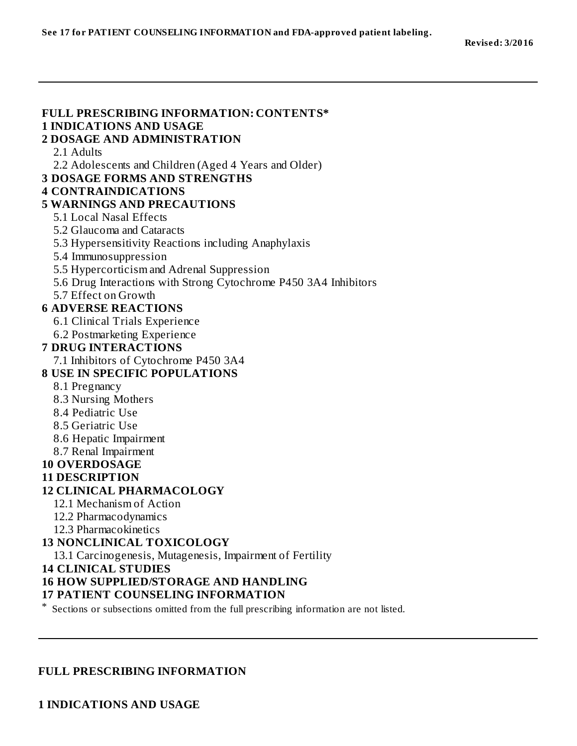#### **FULL PRESCRIBING INFORMATION: CONTENTS\* 1 INDICATIONS AND USAGE 2 DOSAGE AND ADMINISTRATION** 2.1 Adults 2.2 Adolescents and Children (Aged 4 Years and Older) **3 DOSAGE FORMS AND STRENGTHS 4 CONTRAINDICATIONS 5 WARNINGS AND PRECAUTIONS** 5.1 Local Nasal Effects 5.2 Glaucoma and Cataracts 5.3 Hypersensitivity Reactions including Anaphylaxis 5.4 Immunosuppression 5.5 Hypercorticism and Adrenal Suppression 5.6 Drug Interactions with Strong Cytochrome P450 3A4 Inhibitors 5.7 Effect on Growth **6 ADVERSE REACTIONS** 6.1 Clinical Trials Experience 6.2 Postmarketing Experience **7 DRUG INTERACTIONS** 7.1 Inhibitors of Cytochrome P450 3A4 **8 USE IN SPECIFIC POPULATIONS** 8.1 Pregnancy 8.3 Nursing Mothers 8.4 Pediatric Use 8.5 Geriatric Use 8.6 Hepatic Impairment 8.7 Renal Impairment **10 OVERDOSAGE 11 DESCRIPTION 12 CLINICAL PHARMACOLOGY** 12.1 Mechanism of Action 12.2 Pharmacodynamics 12.3 Pharmacokinetics **13 NONCLINICAL TOXICOLOGY** 13.1 Carcinogenesis, Mutagenesis, Impairment of Fertility **14 CLINICAL STUDIES 16 HOW SUPPLIED/STORAGE AND HANDLING 17 PATIENT COUNSELING INFORMATION**

\* Sections or subsections omitted from the full prescribing information are not listed.

#### **FULL PRESCRIBING INFORMATION**

**1 INDICATIONS AND USAGE**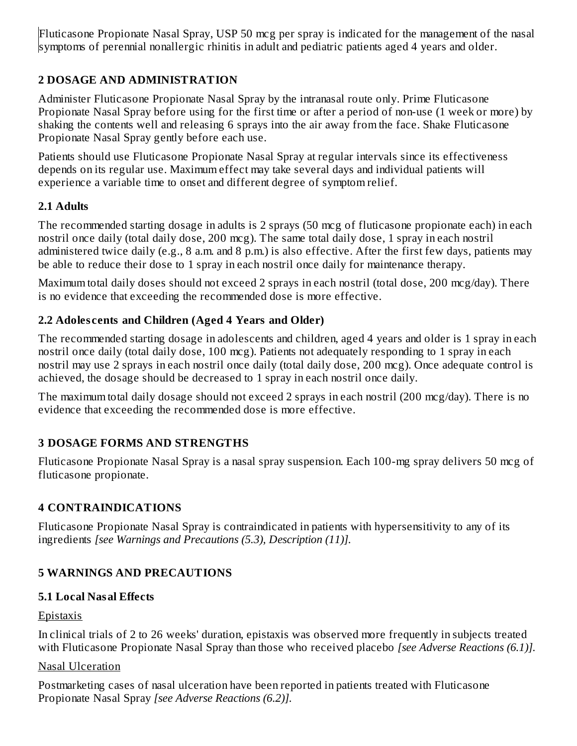Fluticasone Propionate Nasal Spray, USP 50 mcg per spray is indicated for the management of the nasal symptoms of perennial nonallergic rhinitis in adult and pediatric patients aged 4 years and older.

## **2 DOSAGE AND ADMINISTRATION**

Administer Fluticasone Propionate Nasal Spray by the intranasal route only. Prime Fluticasone Propionate Nasal Spray before using for the first time or after a period of non-use (1 week or more) by shaking the contents well and releasing 6 sprays into the air away from the face. Shake Fluticasone Propionate Nasal Spray gently before each use.

Patients should use Fluticasone Propionate Nasal Spray at regular intervals since its effectiveness depends on its regular use. Maximum effect may take several days and individual patients will experience a variable time to onset and different degree of symptom relief.

### **2.1 Adults**

The recommended starting dosage in adults is 2 sprays (50 mcg of fluticasone propionate each) in each nostril once daily (total daily dose, 200 mcg). The same total daily dose, 1 spray in each nostril administered twice daily (e.g., 8 a.m. and 8 p.m.) is also effective. After the first few days, patients may be able to reduce their dose to 1 spray in each nostril once daily for maintenance therapy.

Maximum total daily doses should not exceed 2 sprays in each nostril (total dose, 200 mcg/day). There is no evidence that exceeding the recommended dose is more effective.

## **2.2 Adoles cents and Children (Aged 4 Years and Older)**

The recommended starting dosage in adolescents and children, aged 4 years and older is 1 spray in each nostril once daily (total daily dose, 100 mcg). Patients not adequately responding to 1 spray in each nostril may use 2 sprays in each nostril once daily (total daily dose, 200 mcg). Once adequate control is achieved, the dosage should be decreased to 1 spray in each nostril once daily.

The maximum total daily dosage should not exceed 2 sprays in each nostril (200 mcg/day). There is no evidence that exceeding the recommended dose is more effective.

## **3 DOSAGE FORMS AND STRENGTHS**

Fluticasone Propionate Nasal Spray is a nasal spray suspension. Each 100-mg spray delivers 50 mcg of fluticasone propionate.

## **4 CONTRAINDICATIONS**

Fluticasone Propionate Nasal Spray is contraindicated in patients with hypersensitivity to any of its ingredients *[see Warnings and Precautions (5.3), Description (11)].*

## **5 WARNINGS AND PRECAUTIONS**

### **5.1 Local Nasal Effects**

### **Epistaxis**

In clinical trials of 2 to 26 weeks' duration, epistaxis was observed more frequently in subjects treated with Fluticasone Propionate Nasal Spray than those who received placebo *[see Adverse Reactions (6.1)].*

### Nasal Ulceration

Postmarketing cases of nasal ulceration have been reported in patients treated with Fluticasone Propionate Nasal Spray *[see Adverse Reactions (6.2)].*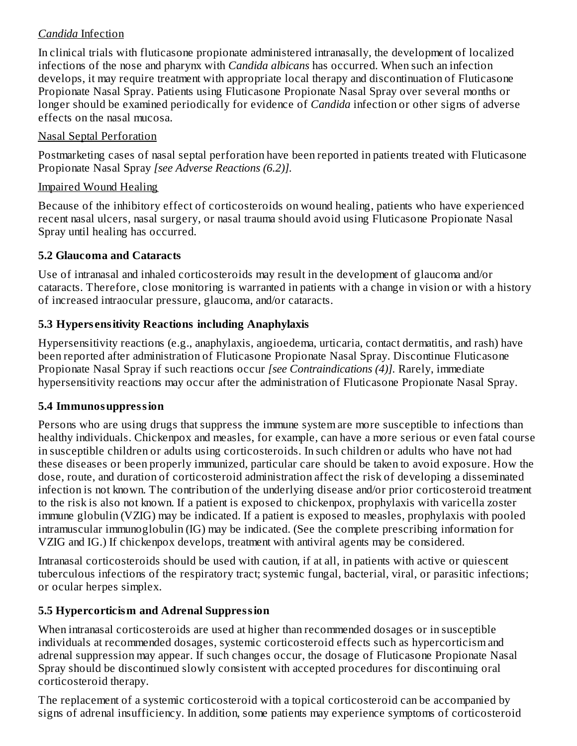### *Candida* Infection

In clinical trials with fluticasone propionate administered intranasally, the development of localized infections of the nose and pharynx with *Candida albicans* has occurred. When such an infection develops, it may require treatment with appropriate local therapy and discontinuation of Fluticasone Propionate Nasal Spray. Patients using Fluticasone Propionate Nasal Spray over several months or longer should be examined periodically for evidence of *Candida* infection or other signs of adverse effects on the nasal mucosa.

#### Nasal Septal Perforation

Postmarketing cases of nasal septal perforation have been reported in patients treated with Fluticasone Propionate Nasal Spray *[see Adverse Reactions (6.2)].*

#### Impaired Wound Healing

Because of the inhibitory effect of corticosteroids on wound healing, patients who have experienced recent nasal ulcers, nasal surgery, or nasal trauma should avoid using Fluticasone Propionate Nasal Spray until healing has occurred.

### **5.2 Glaucoma and Cataracts**

Use of intranasal and inhaled corticosteroids may result in the development of glaucoma and/or cataracts. Therefore, close monitoring is warranted in patients with a change in vision or with a history of increased intraocular pressure, glaucoma, and/or cataracts.

## **5.3 Hypers ensitivity Reactions including Anaphylaxis**

Hypersensitivity reactions (e.g., anaphylaxis, angioedema, urticaria, contact dermatitis, and rash) have been reported after administration of Fluticasone Propionate Nasal Spray. Discontinue Fluticasone Propionate Nasal Spray if such reactions occur *[see Contraindications (4)].* Rarely, immediate hypersensitivity reactions may occur after the administration of Fluticasone Propionate Nasal Spray.

### **5.4 Immunosuppression**

Persons who are using drugs that suppress the immune system are more susceptible to infections than healthy individuals. Chickenpox and measles, for example, can have a more serious or even fatal course in susceptible children or adults using corticosteroids. In such children or adults who have not had these diseases or been properly immunized, particular care should be taken to avoid exposure. How the dose, route, and duration of corticosteroid administration affect the risk of developing a disseminated infection is not known. The contribution of the underlying disease and/or prior corticosteroid treatment to the risk is also not known. If a patient is exposed to chickenpox, prophylaxis with varicella zoster immune globulin (VZIG) may be indicated. If a patient is exposed to measles, prophylaxis with pooled intramuscular immunoglobulin (IG) may be indicated. (See the complete prescribing information for VZIG and IG.) If chickenpox develops, treatment with antiviral agents may be considered.

Intranasal corticosteroids should be used with caution, if at all, in patients with active or quiescent tuberculous infections of the respiratory tract; systemic fungal, bacterial, viral, or parasitic infections; or ocular herpes simplex.

### **5.5 Hypercorticism and Adrenal Suppression**

When intranasal corticosteroids are used at higher than recommended dosages or in susceptible individuals at recommended dosages, systemic corticosteroid effects such as hypercorticism and adrenal suppression may appear. If such changes occur, the dosage of Fluticasone Propionate Nasal Spray should be discontinued slowly consistent with accepted procedures for discontinuing oral corticosteroid therapy.

The replacement of a systemic corticosteroid with a topical corticosteroid can be accompanied by signs of adrenal insufficiency. In addition, some patients may experience symptoms of corticosteroid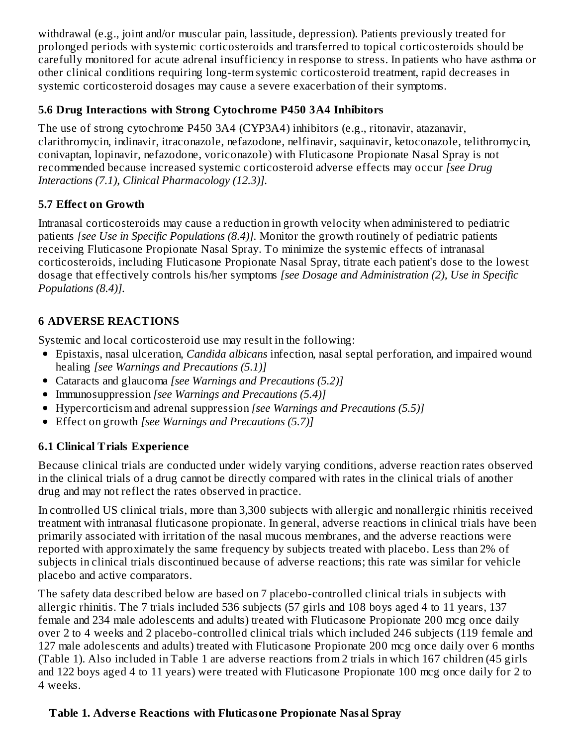withdrawal (e.g., joint and/or muscular pain, lassitude, depression). Patients previously treated for prolonged periods with systemic corticosteroids and transferred to topical corticosteroids should be carefully monitored for acute adrenal insufficiency in response to stress. In patients who have asthma or other clinical conditions requiring long-term systemic corticosteroid treatment, rapid decreases in systemic corticosteroid dosages may cause a severe exacerbation of their symptoms.

### **5.6 Drug Interactions with Strong Cytochrome P450 3A4 Inhibitors**

The use of strong cytochrome P450 3A4 (CYP3A4) inhibitors (e.g., ritonavir, atazanavir, clarithromycin, indinavir, itraconazole, nefazodone, nelfinavir, saquinavir, ketoconazole, telithromycin, conivaptan, lopinavir, nefazodone, voriconazole) with Fluticasone Propionate Nasal Spray is not recommended because increased systemic corticosteroid adverse effects may occur *[see Drug Interactions (7.1), Clinical Pharmacology (12.3)].*

## **5.7 Effect on Growth**

Intranasal corticosteroids may cause a reduction in growth velocity when administered to pediatric patients *[see Use in Specific Populations (8.4)].* Monitor the growth routinely of pediatric patients receiving Fluticasone Propionate Nasal Spray. To minimize the systemic effects of intranasal corticosteroids, including Fluticasone Propionate Nasal Spray, titrate each patient's dose to the lowest dosage that effectively controls his/her symptoms *[see Dosage and Administration (2), Use in Specific Populations (8.4)].*

## **6 ADVERSE REACTIONS**

Systemic and local corticosteroid use may result in the following:

- Epistaxis, nasal ulceration, *Candida albicans* infection, nasal septal perforation, and impaired wound healing *[see Warnings and Precautions (5.1)]*
- Cataracts and glaucoma *[see Warnings and Precautions (5.2)]*
- Immunosuppression *[see Warnings and Precautions (5.4)]*
- Hypercorticism and adrenal suppression *[see Warnings and Precautions (5.5)]*
- Effect on growth *[see Warnings and Precautions (5.7)]*

## **6.1 Clinical Trials Experience**

Because clinical trials are conducted under widely varying conditions, adverse reaction rates observed in the clinical trials of a drug cannot be directly compared with rates in the clinical trials of another drug and may not reflect the rates observed in practice.

In controlled US clinical trials, more than 3,300 subjects with allergic and nonallergic rhinitis received treatment with intranasal fluticasone propionate. In general, adverse reactions in clinical trials have been primarily associated with irritation of the nasal mucous membranes, and the adverse reactions were reported with approximately the same frequency by subjects treated with placebo. Less than 2% of subjects in clinical trials discontinued because of adverse reactions; this rate was similar for vehicle placebo and active comparators.

The safety data described below are based on 7 placebo-controlled clinical trials in subjects with allergic rhinitis. The 7 trials included 536 subjects (57 girls and 108 boys aged 4 to 11 years, 137 female and 234 male adolescents and adults) treated with Fluticasone Propionate 200 mcg once daily over 2 to 4 weeks and 2 placebo-controlled clinical trials which included 246 subjects (119 female and 127 male adolescents and adults) treated with Fluticasone Propionate 200 mcg once daily over 6 months (Table 1). Also included in Table 1 are adverse reactions from 2 trials in which 167 children (45 girls and 122 boys aged 4 to 11 years) were treated with Fluticasone Propionate 100 mcg once daily for 2 to 4 weeks.

## **Table 1. Advers e Reactions with Fluticasone Propionate Nasal Spray**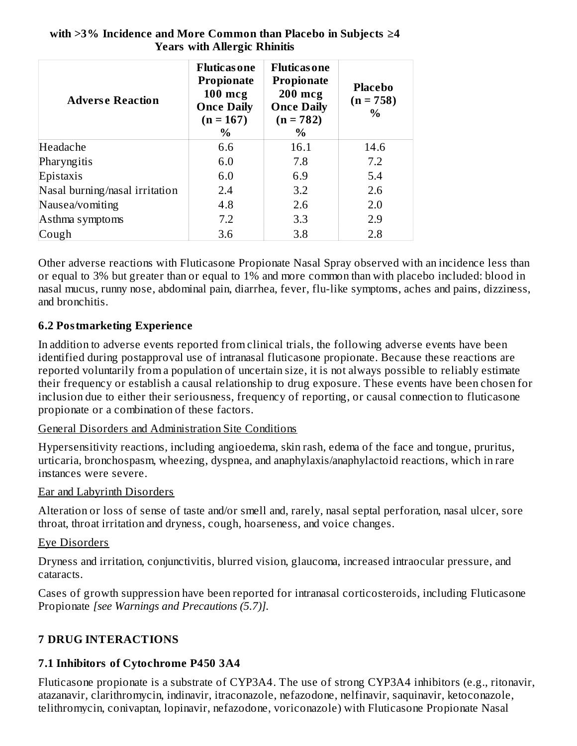| <b>Adverse Reaction</b>        | <b>Fluticas one</b><br><b>Propionate</b><br>$100$ mcg<br><b>Once Daily</b><br>$(n = 167)$<br>$\%$ | <b>Fluticas one</b><br><b>Propionate</b><br>$200$ mcg<br><b>Once Daily</b><br>$(n = 782)$<br>$\%$ | <b>Placebo</b><br>$(n = 758)$<br>$\frac{0}{0}$ |
|--------------------------------|---------------------------------------------------------------------------------------------------|---------------------------------------------------------------------------------------------------|------------------------------------------------|
| Headache                       | 6.6                                                                                               | 16.1                                                                                              | 14.6                                           |
| Pharyngitis                    | 6.0                                                                                               | 7.8                                                                                               | 7.2                                            |
| Epistaxis                      | 6.0                                                                                               | 6.9                                                                                               | 5.4                                            |
| Nasal burning/nasal irritation | 2.4                                                                                               | 3.2                                                                                               | 2.6                                            |
| Nausea/vomiting                | 4.8                                                                                               | 2.6                                                                                               | 2.0                                            |
| Asthma symptoms                | 7.2                                                                                               | 3.3                                                                                               | 2.9                                            |
| Cough                          | 3.6                                                                                               | 3.8                                                                                               | 2.8                                            |

#### **with >3% Incidence and More Common than Placebo in Subjects ≥4 Years with Allergic Rhinitis**

Other adverse reactions with Fluticasone Propionate Nasal Spray observed with an incidence less than or equal to 3% but greater than or equal to 1% and more common than with placebo included: blood in nasal mucus, runny nose, abdominal pain, diarrhea, fever, flu-like symptoms, aches and pains, dizziness, and bronchitis.

### **6.2 Postmarketing Experience**

In addition to adverse events reported from clinical trials, the following adverse events have been identified during postapproval use of intranasal fluticasone propionate. Because these reactions are reported voluntarily from a population of uncertain size, it is not always possible to reliably estimate their frequency or establish a causal relationship to drug exposure. These events have been chosen for inclusion due to either their seriousness, frequency of reporting, or causal connection to fluticasone propionate or a combination of these factors.

### General Disorders and Administration Site Conditions

Hypersensitivity reactions, including angioedema, skin rash, edema of the face and tongue, pruritus, urticaria, bronchospasm, wheezing, dyspnea, and anaphylaxis/anaphylactoid reactions, which in rare instances were severe.

### Ear and Labyrinth Disorders

Alteration or loss of sense of taste and/or smell and, rarely, nasal septal perforation, nasal ulcer, sore throat, throat irritation and dryness, cough, hoarseness, and voice changes.

### Eye Disorders

Dryness and irritation, conjunctivitis, blurred vision, glaucoma, increased intraocular pressure, and cataracts.

Cases of growth suppression have been reported for intranasal corticosteroids, including Fluticasone Propionate *[see Warnings and Precautions (5.7)].*

## **7 DRUG INTERACTIONS**

### **7.1 Inhibitors of Cytochrome P450 3A4**

Fluticasone propionate is a substrate of CYP3A4. The use of strong CYP3A4 inhibitors (e.g., ritonavir, atazanavir, clarithromycin, indinavir, itraconazole, nefazodone, nelfinavir, saquinavir, ketoconazole, telithromycin, conivaptan, lopinavir, nefazodone, voriconazole) with Fluticasone Propionate Nasal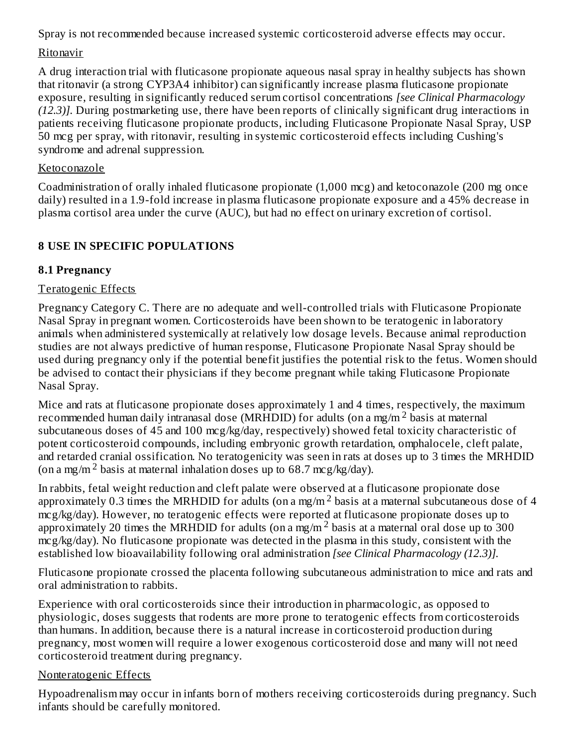Spray is not recommended because increased systemic corticosteroid adverse effects may occur.

### Ritonavir

A drug interaction trial with fluticasone propionate aqueous nasal spray in healthy subjects has shown that ritonavir (a strong CYP3A4 inhibitor) can significantly increase plasma fluticasone propionate exposure, resulting in significantly reduced serum cortisol concentrations *[see Clinical Pharmacology (12.3)].* During postmarketing use, there have been reports of clinically significant drug interactions in patients receiving fluticasone propionate products, including Fluticasone Propionate Nasal Spray, USP 50 mcg per spray, with ritonavir, resulting in systemic corticosteroid effects including Cushing's syndrome and adrenal suppression.

## Ketoconazole

Coadministration of orally inhaled fluticasone propionate (1,000 mcg) and ketoconazole (200 mg once daily) resulted in a 1.9-fold increase in plasma fluticasone propionate exposure and a 45% decrease in plasma cortisol area under the curve (AUC), but had no effect on urinary excretion of cortisol.

## **8 USE IN SPECIFIC POPULATIONS**

## **8.1 Pregnancy**

## Teratogenic Effects

Pregnancy Category C. There are no adequate and well-controlled trials with Fluticasone Propionate Nasal Spray in pregnant women. Corticosteroids have been shown to be teratogenic in laboratory animals when administered systemically at relatively low dosage levels. Because animal reproduction studies are not always predictive of human response, Fluticasone Propionate Nasal Spray should be used during pregnancy only if the potential benefit justifies the potential risk to the fetus. Women should be advised to contact their physicians if they become pregnant while taking Fluticasone Propionate Nasal Spray.

Mice and rats at fluticasone propionate doses approximately 1 and 4 times, respectively, the maximum recommended human daily intranasal dose (MRHDID) for adults (on a mg/m<sup>2</sup> basis at maternal subcutaneous doses of 45 and 100 mcg/kg/day, respectively) showed fetal toxicity characteristic of potent corticosteroid compounds, including embryonic growth retardation, omphalocele, cleft palate, and retarded cranial ossification. No teratogenicity was seen in rats at doses up to 3 times the MRHDID (on a mg/m<sup>2</sup> basis at maternal inhalation doses up to 68.7 mcg/kg/day).

In rabbits, fetal weight reduction and cleft palate were observed at a fluticasone propionate dose approximately 0.3 times the MRHDID for adults (on a mg/m<sup>2</sup> basis at a maternal subcutaneous dose of 4 mcg/kg/day). However, no teratogenic effects were reported at fluticasone propionate doses up to approximately 20 times the MRHDID for adults (on a mg/m<sup>2</sup> basis at a maternal oral dose up to 300 mcg/kg/day). No fluticasone propionate was detected in the plasma in this study, consistent with the established low bioavailability following oral administration *[see Clinical Pharmacology (12.3)].*

Fluticasone propionate crossed the placenta following subcutaneous administration to mice and rats and oral administration to rabbits.

Experience with oral corticosteroids since their introduction in pharmacologic, as opposed to physiologic, doses suggests that rodents are more prone to teratogenic effects from corticosteroids than humans. In addition, because there is a natural increase in corticosteroid production during pregnancy, most women will require a lower exogenous corticosteroid dose and many will not need corticosteroid treatment during pregnancy.

### Nonteratogenic Effects

Hypoadrenalism may occur in infants born of mothers receiving corticosteroids during pregnancy. Such infants should be carefully monitored.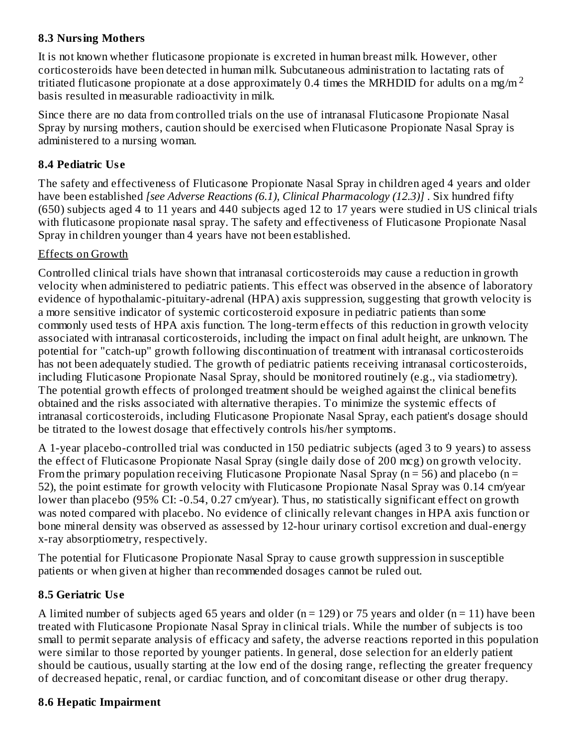#### **8.3 Nursing Mothers**

It is not known whether fluticasone propionate is excreted in human breast milk. However, other corticosteroids have been detected in human milk. Subcutaneous administration to lactating rats of tritiated fluticasone propionate at a dose approximately 0.4 times the MRHDID for adults on a mg/m  $^2$ basis resulted in measurable radioactivity in milk.

Since there are no data from controlled trials on the use of intranasal Fluticasone Propionate Nasal Spray by nursing mothers, caution should be exercised when Fluticasone Propionate Nasal Spray is administered to a nursing woman.

### **8.4 Pediatric Us e**

The safety and effectiveness of Fluticasone Propionate Nasal Spray in children aged 4 years and older have been established *[see Adverse Reactions (6.1), Clinical Pharmacology (12.3)]* . Six hundred fifty (650) subjects aged 4 to 11 years and 440 subjects aged 12 to 17 years were studied in US clinical trials with fluticasone propionate nasal spray. The safety and effectiveness of Fluticasone Propionate Nasal Spray in children younger than 4 years have not been established.

### Effects on Growth

Controlled clinical trials have shown that intranasal corticosteroids may cause a reduction in growth velocity when administered to pediatric patients. This effect was observed in the absence of laboratory evidence of hypothalamic-pituitary-adrenal (HPA) axis suppression, suggesting that growth velocity is a more sensitive indicator of systemic corticosteroid exposure in pediatric patients than some commonly used tests of HPA axis function. The long-term effects of this reduction in growth velocity associated with intranasal corticosteroids, including the impact on final adult height, are unknown. The potential for "catch-up" growth following discontinuation of treatment with intranasal corticosteroids has not been adequately studied. The growth of pediatric patients receiving intranasal corticosteroids, including Fluticasone Propionate Nasal Spray, should be monitored routinely (e.g., via stadiometry). The potential growth effects of prolonged treatment should be weighed against the clinical benefits obtained and the risks associated with alternative therapies. To minimize the systemic effects of intranasal corticosteroids, including Fluticasone Propionate Nasal Spray, each patient's dosage should be titrated to the lowest dosage that effectively controls his/her symptoms.

A 1-year placebo-controlled trial was conducted in 150 pediatric subjects (aged 3 to 9 years) to assess the effect of Fluticasone Propionate Nasal Spray (single daily dose of 200 mcg) on growth velocity. From the primary population receiving Fluticasone Propionate Nasal Spray ( $n = 56$ ) and placebo ( $n =$ 52), the point estimate for growth velocity with Fluticasone Propionate Nasal Spray was 0.14 cm/year lower than placebo (95% CI: -0.54, 0.27 cm/year). Thus, no statistically significant effect on growth was noted compared with placebo. No evidence of clinically relevant changes in HPA axis function or bone mineral density was observed as assessed by 12-hour urinary cortisol excretion and dual-energy x-ray absorptiometry, respectively.

The potential for Fluticasone Propionate Nasal Spray to cause growth suppression in susceptible patients or when given at higher than recommended dosages cannot be ruled out.

### **8.5 Geriatric Us e**

A limited number of subjects aged 65 years and older ( $n = 129$ ) or 75 years and older ( $n = 11$ ) have been treated with Fluticasone Propionate Nasal Spray in clinical trials. While the number of subjects is too small to permit separate analysis of efficacy and safety, the adverse reactions reported in this population were similar to those reported by younger patients. In general, dose selection for an elderly patient should be cautious, usually starting at the low end of the dosing range, reflecting the greater frequency of decreased hepatic, renal, or cardiac function, and of concomitant disease or other drug therapy.

### **8.6 Hepatic Impairment**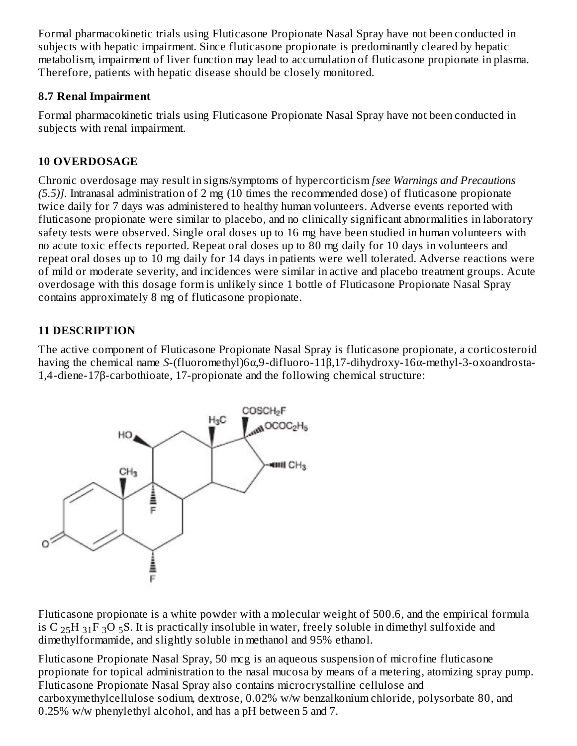Formal pharmacokinetic trials using Fluticasone Propionate Nasal Spray have not been conducted in subjects with hepatic impairment. Since fluticasone propionate is predominantly cleared by hepatic metabolism, impairment of liver function may lead to accumulation of fluticasone propionate in plasma. Therefore, patients with hepatic disease should be closely monitored.

#### **8.7 Renal Impairment**

Formal pharmacokinetic trials using Fluticasone Propionate Nasal Spray have not been conducted in subjects with renal impairment.

## **10 OVERDOSAGE**

Chronic overdosage may result in signs/symptoms of hypercorticism *[see Warnings and Precautions (5.5)].* Intranasal administration of 2 mg (10 times the recommended dose) of fluticasone propionate twice daily for 7 days was administered to healthy human volunteers. Adverse events reported with fluticasone propionate were similar to placebo, and no clinically significant abnormalities in laboratory safety tests were observed. Single oral doses up to 16 mg have been studied in human volunteers with no acute toxic effects reported. Repeat oral doses up to 80 mg daily for 10 days in volunteers and repeat oral doses up to 10 mg daily for 14 days in patients were well tolerated. Adverse reactions were of mild or moderate severity, and incidences were similar in active and placebo treatment groups. Acute overdosage with this dosage form is unlikely since 1 bottle of Fluticasone Propionate Nasal Spray contains approximately 8 mg of fluticasone propionate.

## **11 DESCRIPTION**

The active component of Fluticasone Propionate Nasal Spray is fluticasone propionate, a corticosteroid having the chemical name *S*-(fluoromethyl)6α,9-difluoro-11β,17-dihydroxy-16α-methyl-3-oxoandrosta-1,4-diene-17β-carbothioate, 17-propionate and the following chemical structure:



Fluticasone propionate is a white powder with a molecular weight of 500.6, and the empirical formula is C  $_{25}$ H  $_{31}$ F  $_{3}$ O  $_{5}$ S. It is practically insoluble in water, freely soluble in dimethyl sulfoxide and dimethylformamide, and slightly soluble in methanol and 95% ethanol.

Fluticasone Propionate Nasal Spray, 50 mcg is an aqueous suspension of microfine fluticasone propionate for topical administration to the nasal mucosa by means of a metering, atomizing spray pump. Fluticasone Propionate Nasal Spray also contains microcrystalline cellulose and carboxymethylcellulose sodium, dextrose, 0.02% w/w benzalkonium chloride, polysorbate 80, and 0.25% w/w phenylethyl alcohol, and has a pH between 5 and 7.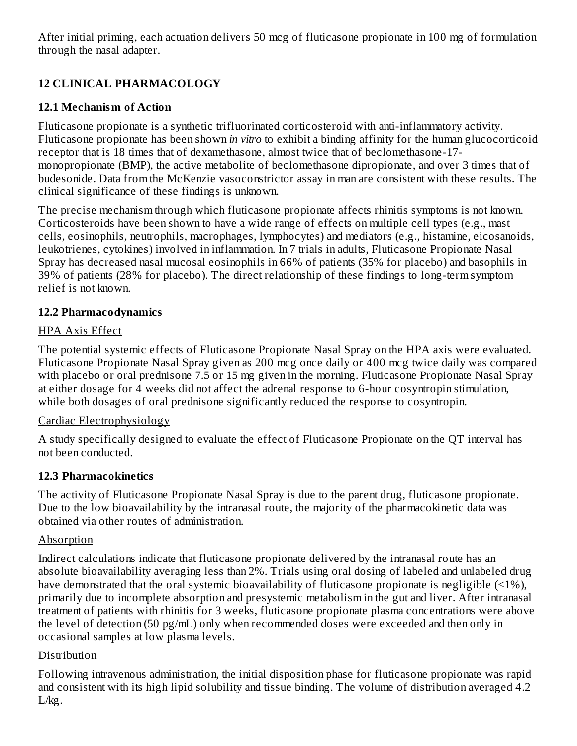After initial priming, each actuation delivers 50 mcg of fluticasone propionate in 100 mg of formulation through the nasal adapter.

## **12 CLINICAL PHARMACOLOGY**

### **12.1 Mechanism of Action**

Fluticasone propionate is a synthetic trifluorinated corticosteroid with anti-inflammatory activity. Fluticasone propionate has been shown *in vitro* to exhibit a binding affinity for the human glucocorticoid receptor that is 18 times that of dexamethasone, almost twice that of beclomethasone-17 monopropionate (BMP), the active metabolite of beclomethasone dipropionate, and over 3 times that of budesonide. Data from the McKenzie vasoconstrictor assay in man are consistent with these results. The clinical significance of these findings is unknown.

The precise mechanism through which fluticasone propionate affects rhinitis symptoms is not known. Corticosteroids have been shown to have a wide range of effects on multiple cell types (e.g., mast cells, eosinophils, neutrophils, macrophages, lymphocytes) and mediators (e.g., histamine, eicosanoids, leukotrienes, cytokines) involved in inflammation. In 7 trials in adults, Fluticasone Propionate Nasal Spray has decreased nasal mucosal eosinophils in 66% of patients (35% for placebo) and basophils in 39% of patients (28% for placebo). The direct relationship of these findings to long-term symptom relief is not known.

### **12.2 Pharmacodynamics**

### HPA Axis Effect

The potential systemic effects of Fluticasone Propionate Nasal Spray on the HPA axis were evaluated. Fluticasone Propionate Nasal Spray given as 200 mcg once daily or 400 mcg twice daily was compared with placebo or oral prednisone 7.5 or 15 mg given in the morning. Fluticasone Propionate Nasal Spray at either dosage for 4 weeks did not affect the adrenal response to 6-hour cosyntropin stimulation, while both dosages of oral prednisone significantly reduced the response to cosyntropin.

### Cardiac Electrophysiology

A study specifically designed to evaluate the effect of Fluticasone Propionate on the QT interval has not been conducted.

### **12.3 Pharmacokinetics**

The activity of Fluticasone Propionate Nasal Spray is due to the parent drug, fluticasone propionate. Due to the low bioavailability by the intranasal route, the majority of the pharmacokinetic data was obtained via other routes of administration.

### Absorption

Indirect calculations indicate that fluticasone propionate delivered by the intranasal route has an absolute bioavailability averaging less than 2%. Trials using oral dosing of labeled and unlabeled drug have demonstrated that the oral systemic bioavailability of fluticasone propionate is negligible (<1%), primarily due to incomplete absorption and presystemic metabolism in the gut and liver. After intranasal treatment of patients with rhinitis for 3 weeks, fluticasone propionate plasma concentrations were above the level of detection (50 pg/mL) only when recommended doses were exceeded and then only in occasional samples at low plasma levels.

## Distribution

Following intravenous administration, the initial disposition phase for fluticasone propionate was rapid and consistent with its high lipid solubility and tissue binding. The volume of distribution averaged 4.2 L/kg.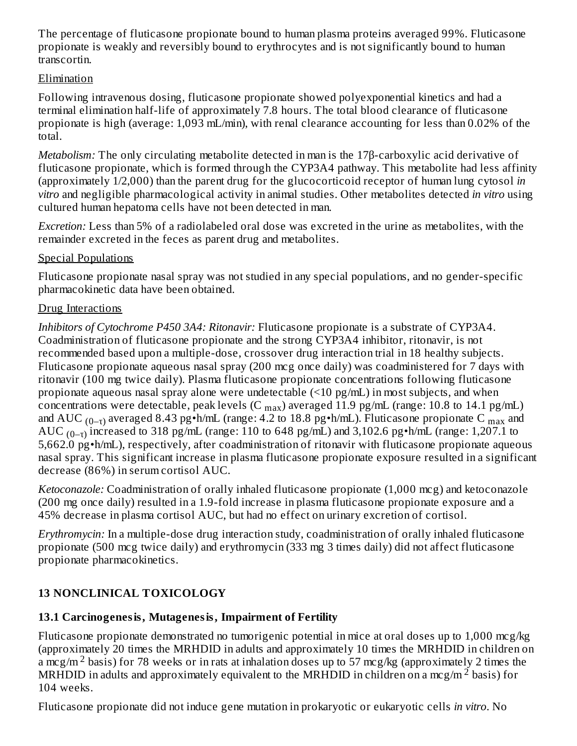The percentage of fluticasone propionate bound to human plasma proteins averaged 99%. Fluticasone propionate is weakly and reversibly bound to erythrocytes and is not significantly bound to human transcortin.

#### Elimination

Following intravenous dosing, fluticasone propionate showed polyexponential kinetics and had a terminal elimination half-life of approximately 7.8 hours. The total blood clearance of fluticasone propionate is high (average: 1,093 mL/min), with renal clearance accounting for less than 0.02% of the total.

*Metabolism:* The only circulating metabolite detected in man is the 17β-carboxylic acid derivative of fluticasone propionate, which is formed through the CYP3A4 pathway. This metabolite had less affinity (approximately 1/2,000) than the parent drug for the glucocorticoid receptor of human lung cytosol *in vitro* and negligible pharmacological activity in animal studies. Other metabolites detected *in vitro* using cultured human hepatoma cells have not been detected in man.

*Excretion:* Less than 5% of a radiolabeled oral dose was excreted in the urine as metabolites, with the remainder excreted in the feces as parent drug and metabolites.

#### Special Populations

Fluticasone propionate nasal spray was not studied in any special populations, and no gender-specific pharmacokinetic data have been obtained.

#### Drug Interactions

*Inhibitors of Cytochrome P450 3A4: Ritonavir:* Fluticasone propionate is a substrate of CYP3A4. Coadministration of fluticasone propionate and the strong CYP3A4 inhibitor, ritonavir, is not recommended based upon a multiple-dose, crossover drug interaction trial in 18 healthy subjects. Fluticasone propionate aqueous nasal spray (200 mcg once daily) was coadministered for 7 days with ritonavir (100 mg twice daily). Plasma fluticasone propionate concentrations following fluticasone propionate aqueous nasal spray alone were undetectable (<10 pg/mL) in most subjects, and when concentrations were detectable, peak levels (C  $_{\rm max}$ ) averaged 11.9 pg/mL (range: 10.8 to 14.1 pg/mL) and AUC  $_{(0-\tau)}$  averaged 8.43 pg•h/mL (range: 4.2 to 18.8 pg•h/mL). Fluticasone propionate C  $_{\rm max}$  and AUC  $_{(0-\tau)}$  increased to 318 pg/mL (range: 110 to 648 pg/mL) and 3,102.6 pg•h/mL (range: 1,207.1 to 5,662.0 pg•h/mL), respectively, after coadministration of ritonavir with fluticasone propionate aqueous nasal spray. This significant increase in plasma fluticasone propionate exposure resulted in a significant decrease (86%) in serum cortisol AUC.

*Ketoconazole:* Coadministration of orally inhaled fluticasone propionate (1,000 mcg) and ketoconazole (200 mg once daily) resulted in a 1.9-fold increase in plasma fluticasone propionate exposure and a 45% decrease in plasma cortisol AUC, but had no effect on urinary excretion of cortisol.

*Erythromycin:* In a multiple-dose drug interaction study, coadministration of orally inhaled fluticasone propionate (500 mcg twice daily) and erythromycin (333 mg 3 times daily) did not affect fluticasone propionate pharmacokinetics.

### **13 NONCLINICAL TOXICOLOGY**

#### **13.1 Carcinogenesis, Mutagenesis, Impairment of Fertility**

Fluticasone propionate demonstrated no tumorigenic potential in mice at oral doses up to 1,000 mcg/kg (approximately 20 times the MRHDID in adults and approximately 10 times the MRHDID in children on a mcg/m<sup>2</sup> basis) for 78 weeks or in rats at inhalation doses up to 57 mcg/kg (approximately 2 times the MRHDID in adults and approximately equivalent to the MRHDID in children on a mcg/m<sup>2</sup> basis) for 104 weeks.

Fluticasone propionate did not induce gene mutation in prokaryotic or eukaryotic cells *in vitro*. No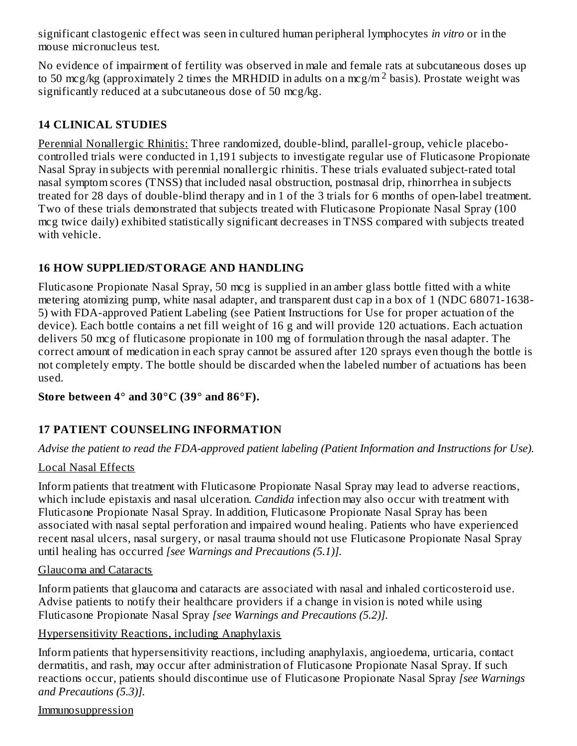significant clastogenic effect was seen in cultured human peripheral lymphocytes *in vitro* or in the mouse micronucleus test.

No evidence of impairment of fertility was observed in male and female rats at subcutaneous doses up to 50 mcg/kg (approximately 2 times the MRHDID in adults on a mcg/m<sup>2</sup> basis). Prostate weight was significantly reduced at a subcutaneous dose of 50 mcg/kg.

### **14 CLINICAL STUDIES**

Perennial Nonallergic Rhinitis: Three randomized, double-blind, parallel-group, vehicle placebocontrolled trials were conducted in 1,191 subjects to investigate regular use of Fluticasone Propionate Nasal Spray in subjects with perennial nonallergic rhinitis. These trials evaluated subject-rated total nasal symptom scores (TNSS) that included nasal obstruction, postnasal drip, rhinorrhea in subjects treated for 28 days of double-blind therapy and in 1 of the 3 trials for 6 months of open-label treatment. Two of these trials demonstrated that subjects treated with Fluticasone Propionate Nasal Spray (100 mcg twice daily) exhibited statistically significant decreases in TNSS compared with subjects treated with vehicle.

#### **16 HOW SUPPLIED/STORAGE AND HANDLING**

Fluticasone Propionate Nasal Spray, 50 mcg is supplied in an amber glass bottle fitted with a white metering atomizing pump, white nasal adapter, and transparent dust cap in a box of 1 (NDC 68071-1638- 5) with FDA-approved Patient Labeling (see Patient Instructions for Use for proper actuation of the device). Each bottle contains a net fill weight of 16 g and will provide 120 actuations. Each actuation delivers 50 mcg of fluticasone propionate in 100 mg of formulation through the nasal adapter. The correct amount of medication in each spray cannot be assured after 120 sprays even though the bottle is not completely empty. The bottle should be discarded when the labeled number of actuations has been used.

#### **Store between 4° and 30°C (39° and 86°F).**

### **17 PATIENT COUNSELING INFORMATION**

*Advise the patient to read the FDA-approved patient labeling (Patient Information and Instructions for Use).*

#### Local Nasal Effects

Inform patients that treatment with Fluticasone Propionate Nasal Spray may lead to adverse reactions, which include epistaxis and nasal ulceration. *Candida* infection may also occur with treatment with Fluticasone Propionate Nasal Spray. In addition, Fluticasone Propionate Nasal Spray has been associated with nasal septal perforation and impaired wound healing. Patients who have experienced recent nasal ulcers, nasal surgery, or nasal trauma should not use Fluticasone Propionate Nasal Spray until healing has occurred *[see Warnings and Precautions (5.1)].*

#### Glaucoma and Cataracts

Inform patients that glaucoma and cataracts are associated with nasal and inhaled corticosteroid use. Advise patients to notify their healthcare providers if a change in vision is noted while using Fluticasone Propionate Nasal Spray *[see Warnings and Precautions (5.2)].*

#### Hypersensitivity Reactions, including Anaphylaxis

Inform patients that hypersensitivity reactions, including anaphylaxis, angioedema, urticaria, contact dermatitis, and rash, may occur after administration of Fluticasone Propionate Nasal Spray. If such reactions occur, patients should discontinue use of Fluticasone Propionate Nasal Spray *[see Warnings and Precautions (5.3)].*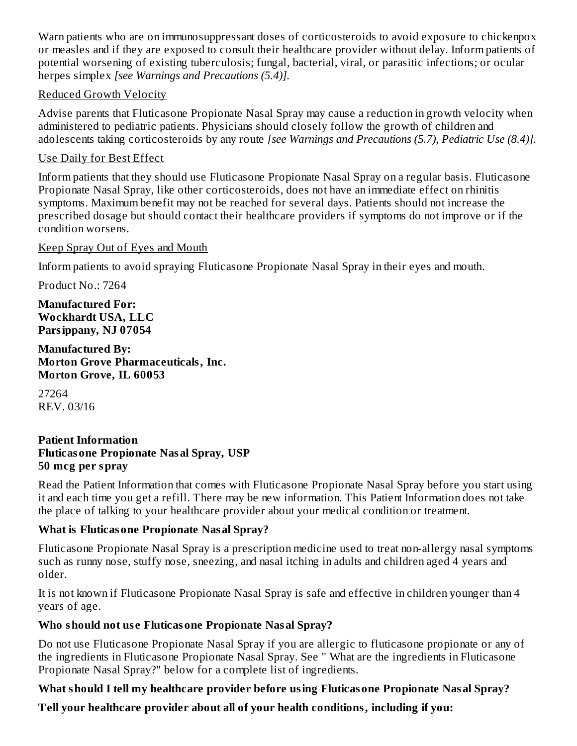Warn patients who are on immunosuppressant doses of corticosteroids to avoid exposure to chickenpox or measles and if they are exposed to consult their healthcare provider without delay. Inform patients of potential worsening of existing tuberculosis; fungal, bacterial, viral, or parasitic infections; or ocular herpes simplex *[see Warnings and Precautions (5.4)].*

#### Reduced Growth Velocity

Advise parents that Fluticasone Propionate Nasal Spray may cause a reduction in growth velocity when administered to pediatric patients. Physicians should closely follow the growth of children and adolescents taking corticosteroids by any route *[see Warnings and Precautions (5.7), Pediatric Use (8.4)].*

#### Use Daily for Best Effect

Inform patients that they should use Fluticasone Propionate Nasal Spray on a regular basis. Fluticasone Propionate Nasal Spray, like other corticosteroids, does not have an immediate effect on rhinitis symptoms. Maximum benefit may not be reached for several days. Patients should not increase the prescribed dosage but should contact their healthcare providers if symptoms do not improve or if the condition worsens.

#### Keep Spray Out of Eyes and Mouth

Inform patients to avoid spraying Fluticasone Propionate Nasal Spray in their eyes and mouth.

Product No.: 7264

**Manufactured For: Wockhardt USA, LLC Parsippany, NJ 07054**

**Manufactured By: Morton Grove Pharmaceuticals, Inc. Morton Grove, IL 60053**

27264 REV. 03/16

#### **Patient Information Fluticasone Propionate Nasal Spray, USP 50 mcg per spray**

Read the Patient Information that comes with Fluticasone Propionate Nasal Spray before you start using it and each time you get a refill. There may be new information. This Patient Information does not take the place of talking to your healthcare provider about your medical condition or treatment.

#### **What is Fluticasone Propionate Nasal Spray?**

Fluticasone Propionate Nasal Spray is a prescription medicine used to treat non-allergy nasal symptoms such as runny nose, stuffy nose, sneezing, and nasal itching in adults and children aged 4 years and older.

It is not known if Fluticasone Propionate Nasal Spray is safe and effective in children younger than 4 years of age.

### **Who should not us e Fluticasone Propionate Nasal Spray?**

Do not use Fluticasone Propionate Nasal Spray if you are allergic to fluticasone propionate or any of the ingredients in Fluticasone Propionate Nasal Spray. See " What are the ingredients in Fluticasone Propionate Nasal Spray?" below for a complete list of ingredients.

### **What should I tell my healthcare provider before using Fluticasone Propionate Nasal Spray?**

**Tell your healthcare provider about all of your health conditions, including if you:**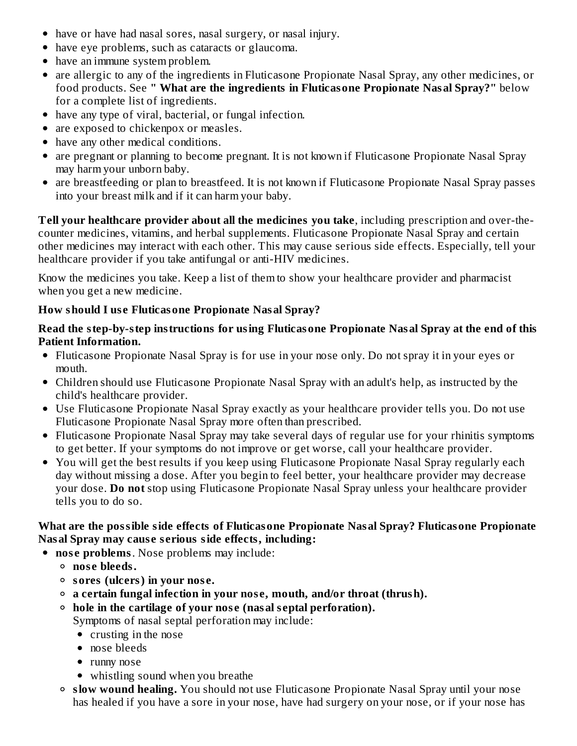- have or have had nasal sores, nasal surgery, or nasal injury.
- have eye problems, such as cataracts or glaucoma.
- have an immune system problem.
- are allergic to any of the ingredients in Fluticasone Propionate Nasal Spray, any other medicines, or food products. See **" What are the ingredients in Fluticasone Propionate Nasal Spray?"** below for a complete list of ingredients.
- have any type of viral, bacterial, or fungal infection.
- are exposed to chickenpox or measles.
- have any other medical conditions.
- are pregnant or planning to become pregnant. It is not known if Fluticasone Propionate Nasal Spray may harm your unborn baby.
- are breastfeeding or plan to breastfeed. It is not known if Fluticasone Propionate Nasal Spray passes into your breast milk and if it can harm your baby.

**Tell your healthcare provider about all the medicines you take**, including prescription and over-thecounter medicines, vitamins, and herbal supplements. Fluticasone Propionate Nasal Spray and certain other medicines may interact with each other. This may cause serious side effects. Especially, tell your healthcare provider if you take antifungal or anti-HIV medicines.

Know the medicines you take. Keep a list of them to show your healthcare provider and pharmacist when you get a new medicine.

#### **How should I us e Fluticasone Propionate Nasal Spray?**

#### **Read the step-by-step instructions for using Fluticasone Propionate Nasal Spray at the end of this Patient Information.**

- Fluticasone Propionate Nasal Spray is for use in your nose only. Do not spray it in your eyes or mouth.
- Children should use Fluticasone Propionate Nasal Spray with an adult's help, as instructed by the child's healthcare provider.
- Use Fluticasone Propionate Nasal Spray exactly as your healthcare provider tells you. Do not use Fluticasone Propionate Nasal Spray more often than prescribed.
- Fluticasone Propionate Nasal Spray may take several days of regular use for your rhinitis symptoms to get better. If your symptoms do not improve or get worse, call your healthcare provider.
- You will get the best results if you keep using Fluticasone Propionate Nasal Spray regularly each day without missing a dose. After you begin to feel better, your healthcare provider may decrease your dose. **Do not** stop using Fluticasone Propionate Nasal Spray unless your healthcare provider tells you to do so.

#### **What are the possible side effects of Fluticasone Propionate Nasal Spray? Fluticasone Propionate Nasal Spray may caus e s erious side effects, including:**

- **nos e problems**. Nose problems may include:
	- **nos e bleeds.**
	- **sores (ulcers) in your nos e.**
	- **a certain fungal infection in your nos e, mouth, and/or throat (thrush).**
	- **hole in the cartilage of your nos e (nasal s eptal perforation).** Symptoms of nasal septal perforation may include:
		- crusting in the nose
		- nose bleeds
		- runny nose
		- whistling sound when you breathe
	- **slow wound healing.** You should not use Fluticasone Propionate Nasal Spray until your nose has healed if you have a sore in your nose, have had surgery on your nose, or if your nose has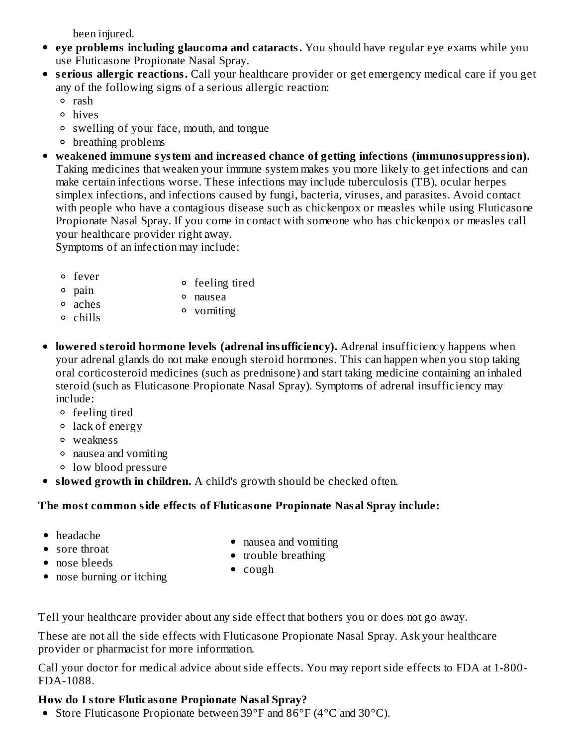been injured.

- **eye problems including glaucoma and cataracts.** You should have regular eye exams while you use Fluticasone Propionate Nasal Spray.
- **s erious allergic reactions.** Call your healthcare provider or get emergency medical care if you get any of the following signs of a serious allergic reaction:
	- o rash
	- hives
	- swelling of your face, mouth, and tongue
	- breathing problems
- **weakened immune system and increas ed chance of getting infections (immunosuppression).** Taking medicines that weaken your immune system makes you more likely to get infections and can make certain infections worse. These infections may include tuberculosis (TB), ocular herpes simplex infections, and infections caused by fungi, bacteria, viruses, and parasites. Avoid contact with people who have a contagious disease such as chickenpox or measles while using Fluticasone Propionate Nasal Spray. If you come in contact with someone who has chickenpox or measles call your healthcare provider right away.

Symptoms of an infection may include:

- fever feeling tired
- pain nausea
- aches vomiting
- chills
- **lowered steroid hormone levels (adrenal insufficiency).** Adrenal insufficiency happens when your adrenal glands do not make enough steroid hormones. This can happen when you stop taking oral corticosteroid medicines (such as prednisone) and start taking medicine containing an inhaled steroid (such as Fluticasone Propionate Nasal Spray). Symptoms of adrenal insufficiency may include:
	- feeling tired
	- lack of energy
	- weakness
	- nausea and vomiting
	- low blood pressure
- **slowed growth in children.** A child's growth should be checked often.

#### **The most common side effects of Fluticasone Propionate Nasal Spray include:**

- headache
- sore throat
- nausea and vomiting
- trouble breathing

• nose bleeds

• nose burning or itching

• cough

Tell your healthcare provider about any side effect that bothers you or does not go away.

These are not all the side effects with Fluticasone Propionate Nasal Spray. Ask your healthcare provider or pharmacist for more information.

Call your doctor for medical advice about side effects. You may report side effects to FDA at 1-800- FDA-1088.

#### **How do I store Fluticasone Propionate Nasal Spray?**

Store Fluticasone Propionate between 39°F and 86°F (4°C and 30°C).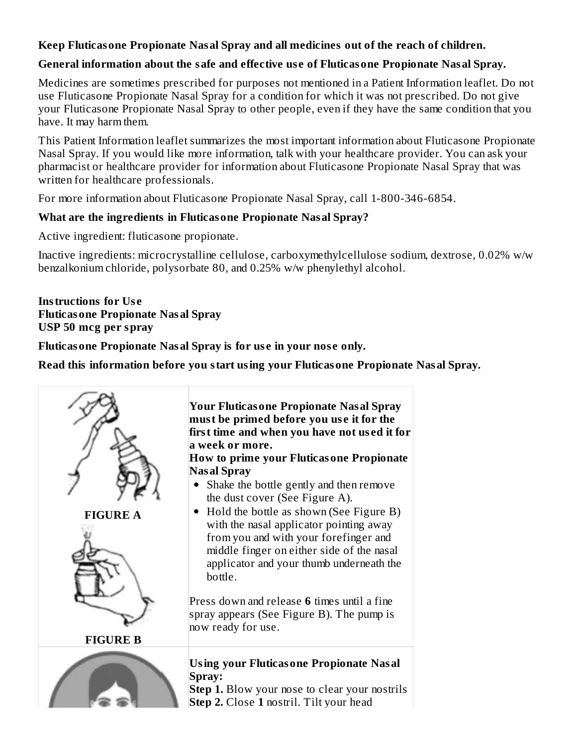#### **Keep Fluticasone Propionate Nasal Spray and all medicines out of the reach of children.**

#### **General information about the safe and effective us e of Fluticasone Propionate Nasal Spray.**

Medicines are sometimes prescribed for purposes not mentioned in a Patient Information leaflet. Do not use Fluticasone Propionate Nasal Spray for a condition for which it was not prescribed. Do not give your Fluticasone Propionate Nasal Spray to other people, even if they have the same condition that you have. It may harm them.

This Patient Information leaflet summarizes the most important information about Fluticasone Propionate Nasal Spray. If you would like more information, talk with your healthcare provider. You can ask your pharmacist or healthcare provider for information about Fluticasone Propionate Nasal Spray that was written for healthcare professionals.

For more information about Fluticasone Propionate Nasal Spray, call 1-800-346-6854.

#### **What are the ingredients in Fluticasone Propionate Nasal Spray?**

Active ingredient: fluticasone propionate.

Inactive ingredients: microcrystalline cellulose, carboxymethylcellulose sodium, dextrose, 0.02% w/w benzalkonium chloride, polysorbate 80, and 0.25% w/w phenylethyl alcohol.

#### **Instructions for Us e Fluticasone Propionate Nasal Spray USP 50 mcg per spray**

**Fluticasone Propionate Nasal Spray is for us e in your nos e only.**

**Read this information before you start using your Fluticasone Propionate Nasal Spray.**

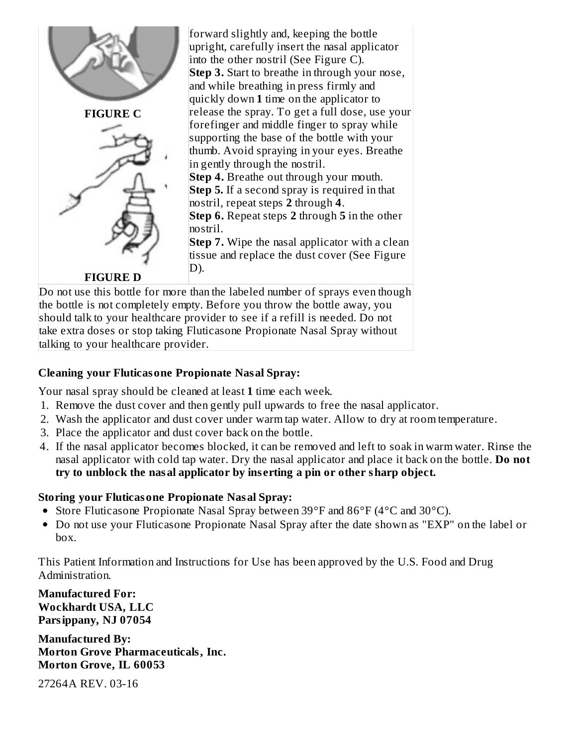

the bottle is not completely empty. Before you throw the bottle away, you should talk to your healthcare provider to see if a refill is needed. Do not take extra doses or stop taking Fluticasone Propionate Nasal Spray without talking to your healthcare provider.

#### **Cleaning your Fluticasone Propionate Nasal Spray:**

Your nasal spray should be cleaned at least **1** time each week.

- 1. Remove the dust cover and then gently pull upwards to free the nasal applicator.
- 2. Wash the applicator and dust cover under warm tap water. Allow to dry at room temperature.
- 3. Place the applicator and dust cover back on the bottle.
- 4. If the nasal applicator becomes blocked, it can be removed and left to soak in warm water. Rinse the nasal applicator with cold tap water. Dry the nasal applicator and place it back on the bottle. **Do not try to unblock the nasal applicator by ins erting a pin or other sharp object.**

#### **Storing your Fluticasone Propionate Nasal Spray:**

- Store Fluticasone Propionate Nasal Spray between 39°F and 86°F (4°C and 30°C).
- Do not use your Fluticasone Propionate Nasal Spray after the date shown as "EXP" on the label or box.

This Patient Information and Instructions for Use has been approved by the U.S. Food and Drug Administration.

**Manufactured For: Wockhardt USA, LLC Parsippany, NJ 07054**

**Manufactured By: Morton Grove Pharmaceuticals, Inc. Morton Grove, IL 60053**

27264A REV. 03-16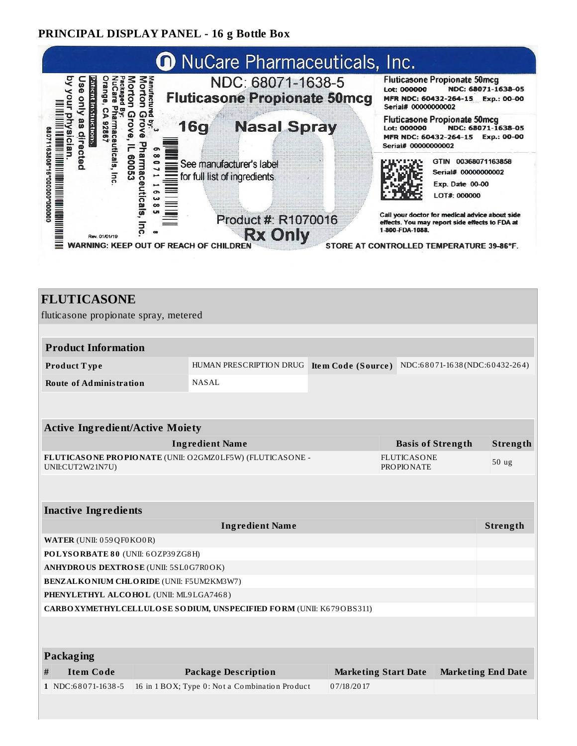#### **PRINCIPAL DISPLAY PANEL - 16 g Bottle Box**



| <b>FLUTICASONE</b>                                                   |  |                                                          |                                                                           |  |                          |                           |  |
|----------------------------------------------------------------------|--|----------------------------------------------------------|---------------------------------------------------------------------------|--|--------------------------|---------------------------|--|
| fluticasone propionate spray, metered                                |  |                                                          |                                                                           |  |                          |                           |  |
|                                                                      |  |                                                          |                                                                           |  |                          |                           |  |
| <b>Product Information</b>                                           |  |                                                          |                                                                           |  |                          |                           |  |
| Product Type                                                         |  |                                                          | HUMAN PRESCRIPTION DRUG Item Code (Source) NDC:68071-1638 (NDC:60432-264) |  |                          |                           |  |
| <b>Route of Administration</b>                                       |  | NASAL                                                    |                                                                           |  |                          |                           |  |
|                                                                      |  |                                                          |                                                                           |  |                          |                           |  |
|                                                                      |  |                                                          |                                                                           |  |                          |                           |  |
| <b>Active Ingredient/Active Moiety</b>                               |  |                                                          |                                                                           |  |                          | Strength                  |  |
|                                                                      |  | <b>Ingredient Name</b>                                   |                                                                           |  | <b>Basis of Strength</b> |                           |  |
| UNII:CUT2W21N7U)                                                     |  | FLUTICASONE PROPIONATE (UNII: O2GMZ0LF5W) (FLUTICASONE - | <b>FLUTICASONE</b><br><b>PROPIONATE</b>                                   |  |                          | 50 <sub>ug</sub>          |  |
|                                                                      |  |                                                          |                                                                           |  |                          |                           |  |
|                                                                      |  |                                                          |                                                                           |  |                          |                           |  |
| <b>Inactive Ingredients</b>                                          |  |                                                          |                                                                           |  |                          |                           |  |
|                                                                      |  | <b>Ingredient Name</b>                                   |                                                                           |  |                          | Strength                  |  |
| WATER (UNII: 059QF0KO0R)                                             |  |                                                          |                                                                           |  |                          |                           |  |
| POLYSORBATE 80 (UNII: 6OZP39ZG8H)                                    |  |                                                          |                                                                           |  |                          |                           |  |
| ANHYDROUS DEXTROSE (UNII: 5SL0G7R0OK)                                |  |                                                          |                                                                           |  |                          |                           |  |
| BENZALKONIUM CHLORIDE (UNII: F5UM2KM3W7)                             |  |                                                          |                                                                           |  |                          |                           |  |
| PHENYLETHYL ALCOHOL (UNII: ML9LGA7468)                               |  |                                                          |                                                                           |  |                          |                           |  |
| CARBO XYMETHYL CELLULOSE SODIUM, UNSPECIFIED FORM (UNII: K679OBS311) |  |                                                          |                                                                           |  |                          |                           |  |
|                                                                      |  |                                                          |                                                                           |  |                          |                           |  |
|                                                                      |  |                                                          |                                                                           |  |                          |                           |  |
| Packaging                                                            |  |                                                          |                                                                           |  |                          |                           |  |
| <b>Item Code</b><br>#                                                |  | <b>Package Description</b>                               | <b>Marketing Start Date</b>                                               |  |                          | <b>Marketing End Date</b> |  |
| 1 NDC:68071-1638-5                                                   |  | 16 in 1 BOX; Type 0: Not a Combination Product           | 07/18/2017                                                                |  |                          |                           |  |
|                                                                      |  |                                                          |                                                                           |  |                          |                           |  |
|                                                                      |  |                                                          |                                                                           |  |                          |                           |  |